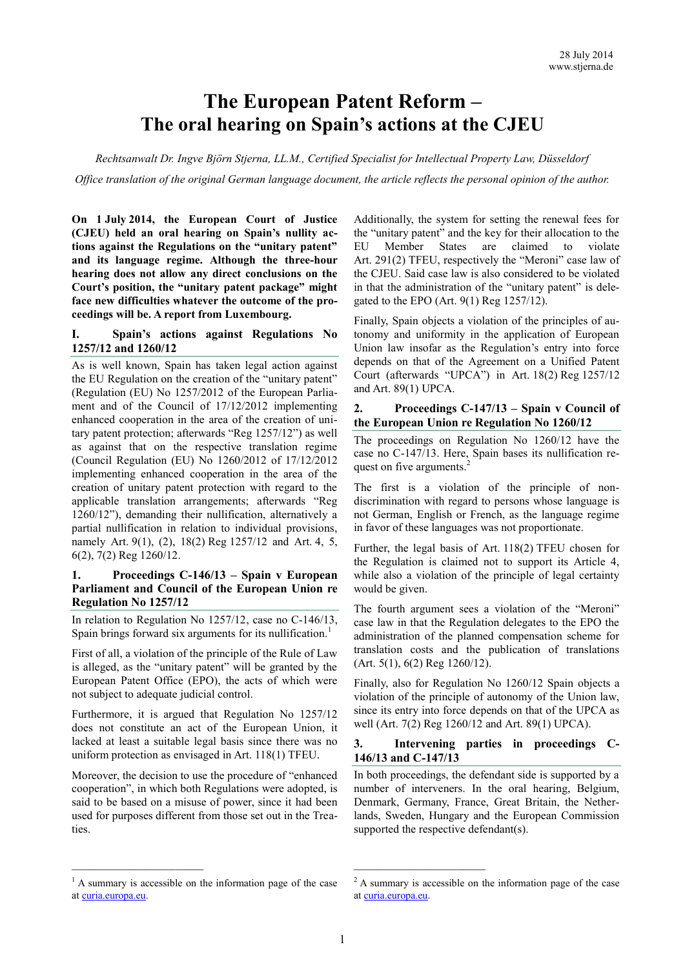# **The European Patent Reform – The oral hearing on Spain's actions at the CJEU**

*Rechtsanwalt Dr. Ingve Björn Stjerna, LL.M., Certified Specialist for Intellectual Property Law, Düsseldorf Office translation of the original German language document, the article reflects the personal opinion of the author.*

**On 1 July 2014, the European Court of Justice (CJEU) held an oral hearing on Spain's nullity actions against the Regulations on the "unitary patent" and its language regime. Although the three-hour hearing does not allow any direct conclusions on the Court's position, the "unitary patent package" might face new difficulties whatever the outcome of the proceedings will be. A report from Luxembourg.**

### **I. Spain's actions against Regulations No 1257/12 and 1260/12**

As is well known, Spain has taken legal action against the EU Regulation on the creation of the "unitary patent" (Regulation (EU) No 1257/2012 of the European Parliament and of the Council of 17/12/2012 implementing enhanced cooperation in the area of the creation of unitary patent protection; afterwards "Reg 1257/12") as well as against that on the respective translation regime (Council Regulation (EU) No 1260/2012 of 17/12/2012 implementing enhanced cooperation in the area of the creation of unitary patent protection with regard to the applicable translation arrangements; afterwards "Reg 1260/12"), demanding their nullification, alternatively a partial nullification in relation to individual provisions, namely Art. 9(1), (2), 18(2) Reg 1257/12 and Art. 4, 5, 6(2), 7(2) Reg 1260/12.

# **1. Proceedings C-146/13 – Spain v European Parliament and Council of the European Union re Regulation No 1257/12**

In relation to Regulation No 1257/12, case no C-146/13, Spain brings forward six arguments for its nullification.<sup>1</sup>

First of all, a violation of the principle of the Rule of Law is alleged, as the "unitary patent" will be granted by the European Patent Office (EPO), the acts of which were not subject to adequate judicial control.

Furthermore, it is argued that Regulation No 1257/12 does not constitute an act of the European Union, it lacked at least a suitable legal basis since there was no uniform protection as envisaged in Art. 118(1) TFEU.

Moreover, the decision to use the procedure of "enhanced cooperation", in which both Regulations were adopted, is said to be based on a misuse of power, since it had been used for purposes different from those set out in the Treaties.

Additionally, the system for setting the renewal fees for the "unitary patent" and the key for their allocation to the EU Member States are claimed to violate Art. 291(2) TFEU, respectively the "Meroni" case law of the CJEU. Said case law is also considered to be violated in that the administration of the "unitary patent" is delegated to the EPO (Art. 9(1) Reg 1257/12).

Finally, Spain objects a violation of the principles of autonomy and uniformity in the application of European Union law insofar as the Regulation's entry into force depends on that of the Agreement on a Unified Patent Court (afterwards "UPCA") in Art. 18(2) Reg 1257/12 and Art. 89(1) UPCA.

#### **2. Proceedings C-147/13 – Spain v Council of the European Union re Regulation No 1260/12**

The proceedings on Regulation No 1260/12 have the case no C-147/13. Here, Spain bases its nullification request on five arguments.<sup>2</sup>

The first is a violation of the principle of nondiscrimination with regard to persons whose language is not German, English or French, as the language regime in favor of these languages was not proportionate.

Further, the legal basis of Art. 118(2) TFEU chosen for the Regulation is claimed not to support its Article 4, while also a violation of the principle of legal certainty would be given.

The fourth argument sees a violation of the "Meroni" case law in that the Regulation delegates to the EPO the administration of the planned compensation scheme for translation costs and the publication of translations (Art. 5(1), 6(2) Reg 1260/12).

Finally, also for Regulation No 1260/12 Spain objects a violation of the principle of autonomy of the Union law, since its entry into force depends on that of the UPCA as well (Art. 7(2) Reg 1260/12 and Art. 89(1) UPCA).

### **3. Intervening parties in proceedings C-146/13 and C-147/13**

In both proceedings, the defendant side is supported by a number of interveners. In the oral hearing, Belgium, Denmark, Germany, France, Great Britain, the Netherlands, Sweden, Hungary and the European Commission supported the respective defendant(s).

<sup>&</sup>lt;sup>1</sup> A summary is accessible on the information page of the case at [curia.europa.eu.](http://curia.europa.eu/)

<sup>2</sup> A summary is accessible on the information page of the case a[t curia.europa.eu.](http://curia.europa.eu/)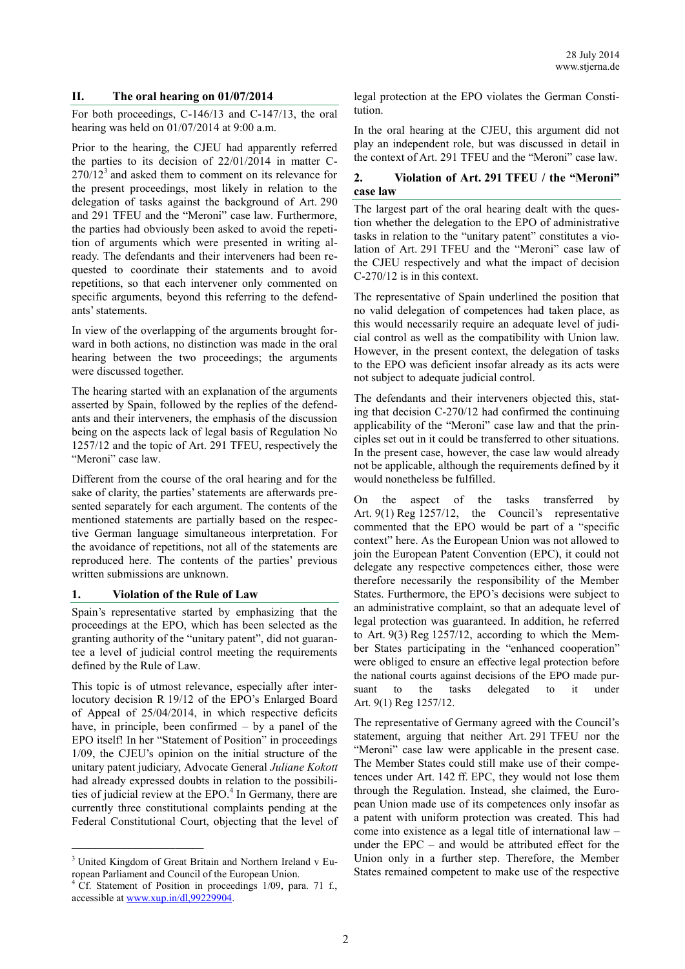### **II. The oral hearing on 01/07/2014**

For both proceedings, C-146/13 and C-147/13, the oral hearing was held on 01/07/2014 at 9:00 a.m.

Prior to the hearing, the CJEU had apparently referred the parties to its decision of 22/01/2014 in matter C- $270/12<sup>3</sup>$  and asked them to comment on its relevance for the present proceedings, most likely in relation to the delegation of tasks against the background of Art. 290 and 291 TFEU and the "Meroni" case law. Furthermore, the parties had obviously been asked to avoid the repetition of arguments which were presented in writing already. The defendants and their interveners had been requested to coordinate their statements and to avoid repetitions, so that each intervener only commented on specific arguments, beyond this referring to the defendants' statements.

In view of the overlapping of the arguments brought forward in both actions, no distinction was made in the oral hearing between the two proceedings; the arguments were discussed together.

The hearing started with an explanation of the arguments asserted by Spain, followed by the replies of the defendants and their interveners, the emphasis of the discussion being on the aspects lack of legal basis of Regulation No 1257/12 and the topic of Art. 291 TFEU, respectively the "Meroni" case law.

Different from the course of the oral hearing and for the sake of clarity, the parties' statements are afterwards presented separately for each argument. The contents of the mentioned statements are partially based on the respective German language simultaneous interpretation. For the avoidance of repetitions, not all of the statements are reproduced here. The contents of the parties' previous written submissions are unknown.

#### **1. Violation of the Rule of Law**

Spain's representative started by emphasizing that the proceedings at the EPO, which has been selected as the granting authority of the "unitary patent", did not guarantee a level of judicial control meeting the requirements defined by the Rule of Law.

This topic is of utmost relevance, especially after interlocutory decision R 19/12 of the EPO's Enlarged Board of Appeal of 25/04/2014, in which respective deficits have, in principle, been confirmed – by a panel of the EPO itself! In her "Statement of Position" in proceedings 1/09, the CJEU's opinion on the initial structure of the unitary patent judiciary, Advocate General *Juliane Kokott* had already expressed doubts in relation to the possibilities of judicial review at the EPO.<sup>4</sup> In Germany, there are currently three constitutional complaints pending at the Federal Constitutional Court, objecting that the level of

 $\mathcal{L}_\text{max}$ 

legal protection at the EPO violates the German Constitution.

In the oral hearing at the CJEU, this argument did not play an independent role, but was discussed in detail in the context of Art. 291 TFEU and the "Meroni" case law.

### **2. Violation of Art. 291 TFEU / the "Meroni" case law**

The largest part of the oral hearing dealt with the question whether the delegation to the EPO of administrative tasks in relation to the "unitary patent" constitutes a violation of Art. 291 TFEU and the "Meroni" case law of the CJEU respectively and what the impact of decision C-270/12 is in this context.

The representative of Spain underlined the position that no valid delegation of competences had taken place, as this would necessarily require an adequate level of judicial control as well as the compatibility with Union law. However, in the present context, the delegation of tasks to the EPO was deficient insofar already as its acts were not subject to adequate judicial control.

The defendants and their interveners objected this, stating that decision C-270/12 had confirmed the continuing applicability of the "Meroni" case law and that the principles set out in it could be transferred to other situations. In the present case, however, the case law would already not be applicable, although the requirements defined by it would nonetheless be fulfilled.

On the aspect of the tasks transferred by Art. 9(1) Reg 1257/12, the Council's representative commented that the EPO would be part of a "specific context" here. As the European Union was not allowed to join the European Patent Convention (EPC), it could not delegate any respective competences either, those were therefore necessarily the responsibility of the Member States. Furthermore, the EPO's decisions were subject to an administrative complaint, so that an adequate level of legal protection was guaranteed. In addition, he referred to Art. 9(3) Reg 1257/12, according to which the Member States participating in the "enhanced cooperation" were obliged to ensure an effective legal protection before the national courts against decisions of the EPO made pursuant to the tasks delegated to it under Art. 9(1) Reg 1257/12.

The representative of Germany agreed with the Council's statement, arguing that neither Art. 291 TFEU nor the "Meroni" case law were applicable in the present case. The Member States could still make use of their competences under Art. 142 ff. EPC, they would not lose them through the Regulation. Instead, she claimed, the European Union made use of its competences only insofar as a patent with uniform protection was created. This had come into existence as a legal title of international law – under the EPC – and would be attributed effect for the Union only in a further step. Therefore, the Member States remained competent to make use of the respective

<sup>&</sup>lt;sup>3</sup> United Kingdom of Great Britain and Northern Ireland v European Parliament and Council of the European Union.

<sup>&</sup>lt;sup>4</sup> Cf. Statement of Position in proceedings 1/09, para. 71 f., accessible at [www.xup.in/dl,99229904.](http://www.xup.in/dl,99229904)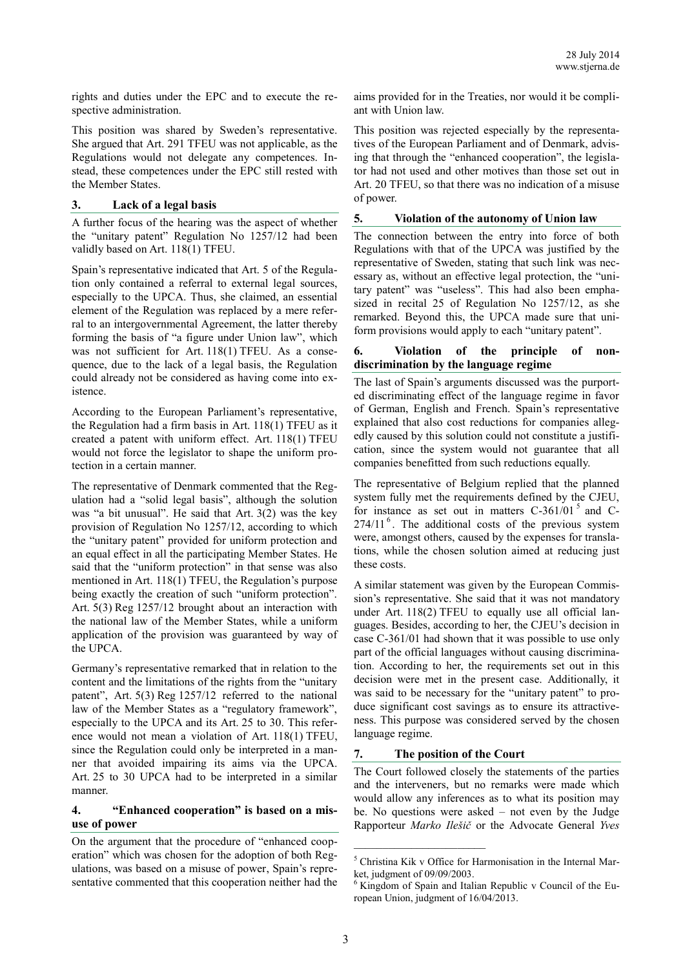rights and duties under the EPC and to execute the respective administration.

This position was shared by Sweden's representative. She argued that Art. 291 TFEU was not applicable, as the Regulations would not delegate any competences. Instead, these competences under the EPC still rested with the Member States.

#### **3. Lack of a legal basis**

A further focus of the hearing was the aspect of whether the "unitary patent" Regulation No 1257/12 had been validly based on Art. 118(1) TFEU.

Spain's representative indicated that Art. 5 of the Regulation only contained a referral to external legal sources, especially to the UPCA. Thus, she claimed, an essential element of the Regulation was replaced by a mere referral to an intergovernmental Agreement, the latter thereby forming the basis of "a figure under Union law", which was not sufficient for Art. 118(1) TFEU. As a consequence, due to the lack of a legal basis, the Regulation could already not be considered as having come into existence.

According to the European Parliament's representative, the Regulation had a firm basis in Art. 118(1) TFEU as it created a patent with uniform effect. Art. 118(1) TFEU would not force the legislator to shape the uniform protection in a certain manner.

The representative of Denmark commented that the Regulation had a "solid legal basis", although the solution was "a bit unusual". He said that Art. 3(2) was the key provision of Regulation No 1257/12, according to which the "unitary patent" provided for uniform protection and an equal effect in all the participating Member States. He said that the "uniform protection" in that sense was also mentioned in Art. 118(1) TFEU, the Regulation's purpose being exactly the creation of such "uniform protection". Art. 5(3) Reg 1257/12 brought about an interaction with the national law of the Member States, while a uniform application of the provision was guaranteed by way of the UPCA.

Germany's representative remarked that in relation to the content and the limitations of the rights from the "unitary patent", Art. 5(3) Reg 1257/12 referred to the national law of the Member States as a "regulatory framework", especially to the UPCA and its Art. 25 to 30. This reference would not mean a violation of Art. 118(1) TFEU, since the Regulation could only be interpreted in a manner that avoided impairing its aims via the UPCA. Art. 25 to 30 UPCA had to be interpreted in a similar manner.

#### **4. "Enhanced cooperation" is based on a misuse of power**

On the argument that the procedure of "enhanced cooperation" which was chosen for the adoption of both Regulations, was based on a misuse of power, Spain's representative commented that this cooperation neither had the aims provided for in the Treaties, nor would it be compliant with Union law.

This position was rejected especially by the representatives of the European Parliament and of Denmark, advising that through the "enhanced cooperation", the legislator had not used and other motives than those set out in Art. 20 TFEU, so that there was no indication of a misuse of power.

#### **5. Violation of the autonomy of Union law**

The connection between the entry into force of both Regulations with that of the UPCA was justified by the representative of Sweden, stating that such link was necessary as, without an effective legal protection, the "unitary patent" was "useless". This had also been emphasized in recital 25 of Regulation No 1257/12, as she remarked. Beyond this, the UPCA made sure that uniform provisions would apply to each "unitary patent".

# **6. Violation of the principle of nondiscrimination by the language regime**

The last of Spain's arguments discussed was the purported discriminating effect of the language regime in favor of German, English and French. Spain's representative explained that also cost reductions for companies allegedly caused by this solution could not constitute a justification, since the system would not guarantee that all companies benefitted from such reductions equally.

The representative of Belgium replied that the planned system fully met the requirements defined by the CJEU, for instance as set out in matters  $C-361/01^5$  and  $C 274/11<sup>6</sup>$ . The additional costs of the previous system were, amongst others, caused by the expenses for translations, while the chosen solution aimed at reducing just these costs.

A similar statement was given by the European Commission's representative. She said that it was not mandatory under Art. 118(2) TFEU to equally use all official languages. Besides, according to her, the CJEU's decision in case C-361/01 had shown that it was possible to use only part of the official languages without causing discrimination. According to her, the requirements set out in this decision were met in the present case. Additionally, it was said to be necessary for the "unitary patent" to produce significant cost savings as to ensure its attractiveness. This purpose was considered served by the chosen language regime.

### **7. The position of the Court**

 $\mathcal{L}_\text{max}$ 

The Court followed closely the statements of the parties and the interveners, but no remarks were made which would allow any inferences as to what its position may be. No questions were asked – not even by the Judge Rapporteur *Marko Ilešič* or the Advocate General *Yves* 

<sup>5</sup> Christina Kik v Office for Harmonisation in the Internal Market, judgment of 09/09/2003.

 $6$  Kingdom of Spain and Italian Republic v Council of the European Union, judgment of 16/04/2013.